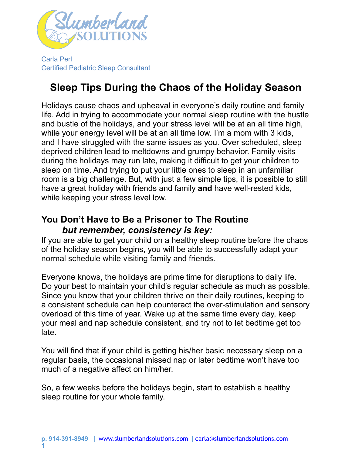

Carla Perl Certified Pediatric Sleep Consultant

# **Sleep Tips During the Chaos of the Holiday Season**

Holidays cause chaos and upheaval in everyone's daily routine and family life. Add in trying to accommodate your normal sleep routine with the hustle and bustle of the holidays, and your stress level will be at an all time high, while your energy level will be at an all time low. I'm a mom with 3 kids, and I have struggled with the same issues as you. Over scheduled, sleep deprived children lead to meltdowns and grumpy behavior. Family visits during the holidays may run late, making it difficult to get your children to sleep on time. And trying to put your little ones to sleep in an unfamiliar room is a big challenge. But, with just a few simple tips, it is possible to still have a great holiday with friends and family **and** have well-rested kids, while keeping your stress level low.

## **You Don't Have to Be a Prisoner to The Routine**  *but remember, consistency is key:*

If you are able to get your child on a healthy sleep routine before the chaos of the holiday season begins, you will be able to successfully adapt your normal schedule while visiting family and friends.

Everyone knows, the holidays are prime time for disruptions to daily life. Do your best to maintain your child's regular schedule as much as possible. Since you know that your children thrive on their daily routines, keeping to a consistent schedule can help counteract the over-stimulation and sensory overload of this time of year. Wake up at the same time every day, keep your meal and nap schedule consistent, and try not to let bedtime get too late.

You will find that if your child is getting his/her basic necessary sleep on a regular basis, the occasional missed nap or later bedtime won't have too much of a negative affect on him/her.

So, a few weeks before the holidays begin, start to establish a healthy sleep routine for your whole family.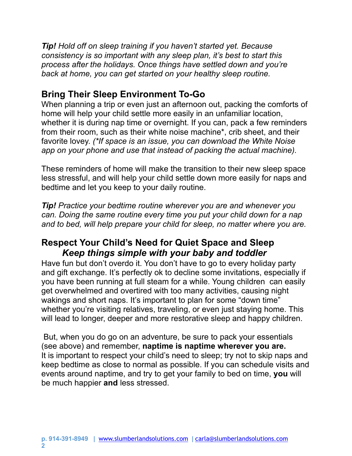*Tip! Hold off on sleep training if you haven't started yet. Because consistency is so important with any sleep plan, it's best to start this process after the holidays. Once things have settled down and you're back at home, you can get started on your healthy sleep routine.* 

# **Bring Their Sleep Environment To-Go**

When planning a trip or even just an afternoon out, packing the comforts of home will help your child settle more easily in an unfamiliar location, whether it is during nap time or overnight. If you can, pack a few reminders from their room, such as their white noise machine\*, crib sheet, and their favorite lovey. *(\*If space is an issue, you can download the White Noise app on your phone and use that instead of packing the actual machine).* 

These reminders of home will make the transition to their new sleep space less stressful, and will help your child settle down more easily for naps and bedtime and let you keep to your daily routine.

*Tip! Practice your bedtime routine wherever you are and whenever you can. Doing the same routine every time you put your child down for a nap and to bed, will help prepare your child for sleep, no matter where you are.*

## **Respect Your Child's Need for Quiet Space and Sleep** *Keep things simple with your baby and toddler*

Have fun but don't overdo it. You don't have to go to every holiday party and gift exchange. It's perfectly ok to decline some invitations, especially if you have been running at full steam for a while. Young children can easily get overwhelmed and overtired with too many activities, causing night wakings and short naps. It's important to plan for some "down time" whether you're visiting relatives, traveling, or even just staying home. This will lead to longer, deeper and more restorative sleep and happy children.

 But, when you do go on an adventure, be sure to pack your essentials (see above) and remember, **naptime is naptime wherever you are.**  It is important to respect your child's need to sleep; try not to skip naps and keep bedtime as close to normal as possible. If you can schedule visits and events around naptime, and try to get your family to bed on time, **you** will be much happier **and** less stressed.